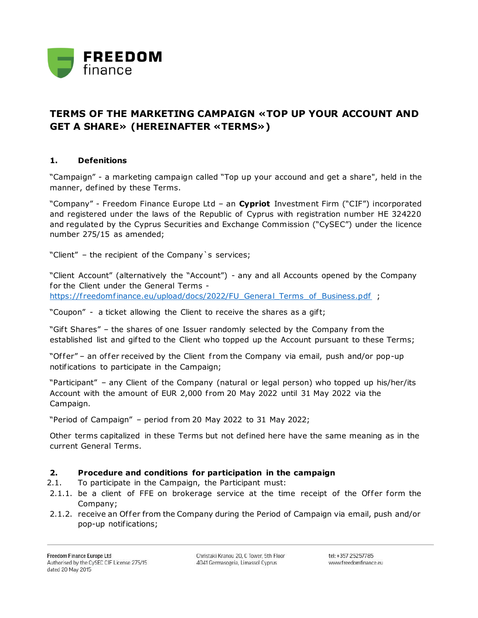

## **TERMS OF THE MARKETING CAMPAIGN «TOP UP YOUR ACCOUNT AND GET A SHARE» (HEREINAFTER «TERMS»)**

## **1. Defenitions**

"Campaign" - a marketing campaign called "Top up your accound and get a share", held in the manner, defined by these Terms.

"Company" - Freedom Finance Europe Ltd – an **Cypriot** Investment Firm ("CIF") incorporated and registered under the laws of the Republic of Cyprus with registration number HE 324220 and regulated by the Cyprus Securities and Exchange Commission ("CySEC") under the licence number 275/15 as amended;

"Client" – the recipient of the Company`s services;

"Client Account" (alternatively the "Account") - any and all Accounts opened by the Company for the Client under the General Terms https://freedomfinance.eu/upload/docs/2022/FU\_General\_Terms\_of\_Business.pdf ;

"Coupon" - a ticket allowing the Client to receive the shares as a gif t;

"Gift Shares" – the shares of one Issuer randomly selected by the Company from the established list and gifted to the Client who topped up the Account pursuant to these Terms;

"Offer" – an offer received by the Client from the Company via email, push and/or pop-up notifications to participate in the Campaign;

"Participant" – any Client of the Company (natural or legal person) who topped up his/her/its Account with the amount of EUR 2,000 from 20 May 2022 until 31 May 2022 via the Campaign.

"Period of Campaign" – period from 20 May 2022 to 31 May 2022;

Other terms capitalized in these Terms but not defined here have the same meaning as in the current General Terms.

## **2. Procedure and conditions for participation in the campaign**

- 2.1. To participate in the Campaign, the Participant must:
- 2.1.1. be a client of FFE on brokerage service at the time receipt of the Offer form the Company;
- 2.1.2. receive an Offer from the Company during the Period of Campaign via email, push and/or pop-up notifications;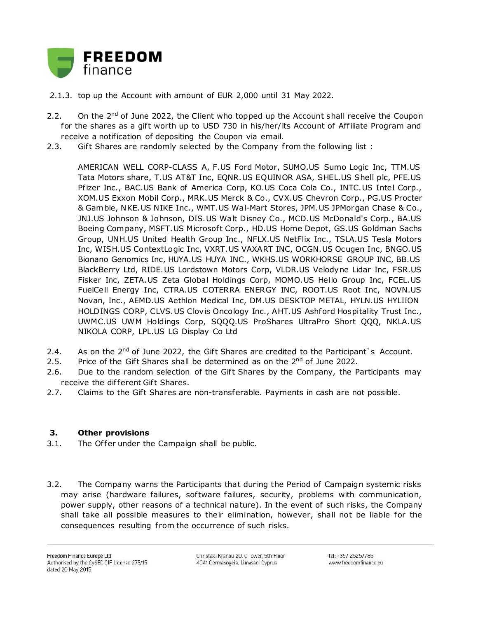

- 2.1.3. top up the Account with amount of EUR 2,000 until 31 May 2022.
- 2.2. On the 2<sup>nd</sup> of June 2022, the Client who topped up the Account shall receive the Coupon for the shares as a gift worth up to USD 730 in his/her/its Account of Affiliate Program and receive a notification of depositing the Coupon via email.
- 2.3. Gift Shares are randomly selected by the Company from the following list :

AMERICAN WELL CORP-CLASS A, F.US Ford Motor, SUMO.US Sumo Logic Inc, TTM.US Tata Motors share, T.US AT&T Inc, EQNR.US EQUINOR ASA, SHEL.US Shell plc, PFE.US Pfizer Inc., BAC.US Bank of America Corp, KO.US Coca Cola Co., INTC.US Intel Corp., XOM.US Exxon Mobil Corp., MRK.US Merck & Co., CVX.US Chevron Corp., PG.US Procter & Gamble, NKE.US NIKE Inc., WMT.US Wal-Mart Stores, JPM.US JPMorgan Chase & Co., JNJ.US Johnson & Johnson, DIS.US Walt Disney Co., MCD.US McDonald's Corp., BA.US Boeing Company, MSFT.US Microsoft Corp., HD.US Home Depot, GS.US Goldman Sachs Group, UNH.US United Health Group Inc., NFLX.US NetFlix Inc., TSLA.US Tesla Motors Inc, WISH.US ContextLogic Inc, VXRT.US VAXART INC, OCGN.US Ocugen Inc, BNGO.US Bionano Genomics Inc, HUYA.US HUYA INC., WKHS.US WORKHORSE GROUP INC, BB.US BlackBerry Ltd, RIDE.US Lordstown Motors Corp, VLDR.US Velodyne Lidar Inc, FSR.US Fisker Inc, ZETA.US Zeta Global Holdings Corp, MOMO.US Hello Group Inc, FCEL.US FuelCell Energy Inc, CTRA.US COTERRA ENERGY INC, ROOT.US Root Inc, NOVN.US Novan, Inc., AEMD.US Aethlon Medical Inc, DM.US DESKTOP METAL, HYLN.US HYLIION HOLDINGS CORP, CLVS.US Clovis Oncology Inc., AHT.US Ashford Hospitality Trust Inc., UWMC.US UWM Holdings Corp, SQQQ.US ProShares UltraPro Short QQQ, NKLA.US NIKOLA CORP, LPL.US LG Display Co Ltd

- 2.4. As on the 2<sup>nd</sup> of June 2022, the Gift Shares are credited to the Participant's Account.
- 2.5. Price of the Gift Shares shall be determined as on the  $2^{nd}$  of June 2022.
- 2.6. Due to the random selection of the Gift Shares by the Company, the Participants may receive the different Gift Shares.
- 2.7. Claims to the Gift Shares are non-transferable. Payments in cash are not possible.

## **3. Other provisions**

- 3.1. The Offer under the Campaign shall be public.
- 3.2. The Company warns the Participants that during the Period of Campaign systemic risks may arise (hardware failures, software failures, security, problems with communication, power supply, other reasons of a technical nature). In the event of such risks, the Company shall take all possible measures to their elimination, however, shall not be liable for the consequences resulting from the occurrence of such risks.